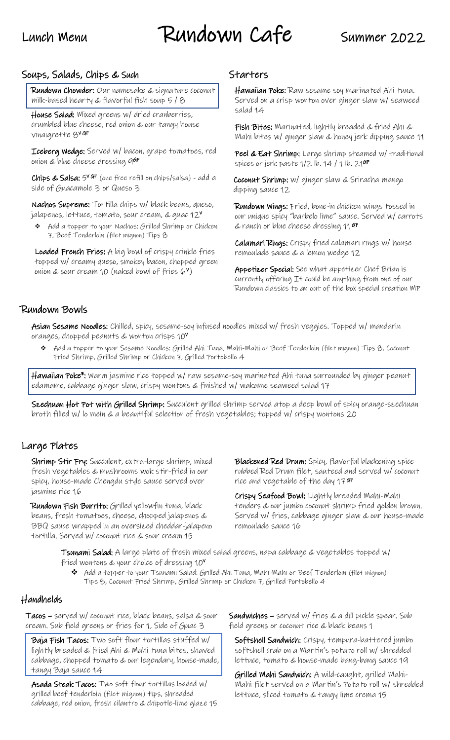# Lunch Menu Rundown Cafe Summer 2022

# Soups, Salads, Chips & Such

Rundown Chowder: Our namesake & signature coconut milk-based hearty & flavorful fish soup 5 / 8

House Salad: Mixed greens w/ dried cranberries, crumbled blue cheese, red onion & our tangy house vinaigrette 8<sup>v GF</sup>

Iceberg Wedge: Served w/ bacon, grape tomatoes, red onion & blue cheese dressing 9<sup>GF</sup>

**Chips & Salsa:**  $5^{\vee}$  GF (one free refill on chips/salsa) - add a side of Guacamole 3 or Queso 3

Nachos Supreme: Tortilla chips w/ black beans, queso, jalapenos, lettuce, tomato, sour cream, & guac 12 $^{\mathsf{v}}$ 

❖ Add a topper to your Nachos: Grilled Shrimp or Chicken 7, Beef Tenderloin (filet mignon) Tips 8

Loaded French Fries: A big bowl of crispy crinkle fries topped w/ creamy queso, smokey bacon, chopped green onion & sour cream 10 (naked bowl of fries  $(\varphi^{\vee})$ 

# **Starters**

Hawaiian Poke: Raw sesame soy marinated Ahi tuna. Served on a crisp wonton over ginger slaw w/ seaweed salad 14

Fish Bites: Marinated, lightly breaded & fried Ahi & Mahi bites w/ ginger slaw & honey jerk dipping sauce 11

Peel & Eat Shrimp: Large shrimp steamed w/ traditional spices or jerk paste 1/2 lb. 14 / 1 lb. 21**<sup>GF</sup>** 

Coconut Shrimp: w/ ginger slaw & Sriracha mango dipping sauce 12

Rundown Wings: Fried, bone-in chicken wings tossed in our unique spicy "barbelo lime" sauce. Served w/ carrots & ranch or blue cheese dressing 11 GF

Calamari Rings: Crispy fried calamari rings w/ house remoulade sauce & a lemon wedge 12

Appetizer Special: See what appetizer Chef Brian is currently offering It could be anything from one of our Rundown classics to an out of the box special creation MP

# Rundown Bowls

Asian Sesame Noodles: Chilled, spicy, sesame-soy infused noodles mixed w/ fresh veggies. Topped w/ mandarin oranges, chopped peanuts & wonton crisps 10<sup>V</sup>

❖ Add a topper to your Sesame Noodles: Grilled Ahi Tuna, Mahi-Mahi or Beef Tenderloin (filet mignon) Tips 8, Coconut Fried Shrimp, Grilled Shrimp or Chicken 7, Grilled Portobello 4

Hawaiian Poke\*: Warm jasmine rice topped w/ raw sesame-soy marinated Ahi tuna surrounded by ginger peanut edamame, cabbage ginger slaw, crispy wontons & finished w/ wakame seaweed salad 17

Szechuan Hot Pot with Grilled Shrimp: Succulent grilled shrimp served atop a deep bowl of spicy orange-szechuan broth filled w/ lo mein & a beautiful selection of fresh vegetables; topped w/ crispy wontons 20

# Large Plates

Shrimp Stir Fry: Succulent, extra-large shrimp, mixed fresh vegetables & mushrooms wok stir-fried in our spicy, house-made Chengdu style sauce served over jasmine rice 16

Rundown Fish Burrito: Grilled yellowfin tuna, black beans, fresh tomatoes, cheese, chopped jalapenos & BBQ sauce wrapped in an oversized cheddar-jalapeno tortilla. Served w/ coconut rice & sour cream 15

Blackened Red Drum: Spicy, flavorful blackening spice rubbed Red Drum filet, sauteed and served w/ coconut rice and vegetable of the day 17 <sup>GF</sup>

Crispy Seafood Bowl: Lightly breaded Mahi-Mahi tenders & our jumbo coconut shrimp fried golden brown. Served w/ fries, cabbage ginger slaw & our house-made remoulade sauce 16

Tsunami Salad: A large plate of fresh mixed salad greens, napa cabbage & vegetables topped w/ fried wontons & your choice of dressing 10<sup>V</sup>

❖ Add a topper to your Tsunami Salad: Grilled Ahi Tuna, Mahi-Mahi or Beef Tenderloin (filet mignon) Tips 8, Coconut Fried Shrimp, Grilled Shrimp or Chicken 7, Grilled Portobello 4

# Handhelds

Tacos – served w/ coconut rice, black beans, salsa & sour cream. Sub field greens or fries for 1, Side of Guac 3

Baja Fish Tacos: Two soft flour tortillas stuffed w/ lightly breaded & fried Ahi & Mahi tuna bites, shaved cabbage, chopped tomato & our legendary, house-made, tangy Baja sauce 14

Asada Steak Tacos: Two soft flour tortillas loaded w/ grilled beef tenderloin (filet mignon) tips, shredded cabbage, red onion, fresh cilantro & chipotle-lime glaze 15 Sandwiches – served w/ fries & a dill pickle spear. Sub field greens or coconut rice & black beans 1

Softshell Sandwich: Crispy, tempura-battered jumbo softshell crab on a Martin's potato roll w/ shredded lettuce, tomato & house-made bang-bang sauce 19

Grilled Mahi Sandwich: A wild-caught, grilled Mahi-Mahi filet served on a Martin's Potato roll w/ shredded lettuce, sliced tomato & tangy lime crema 15